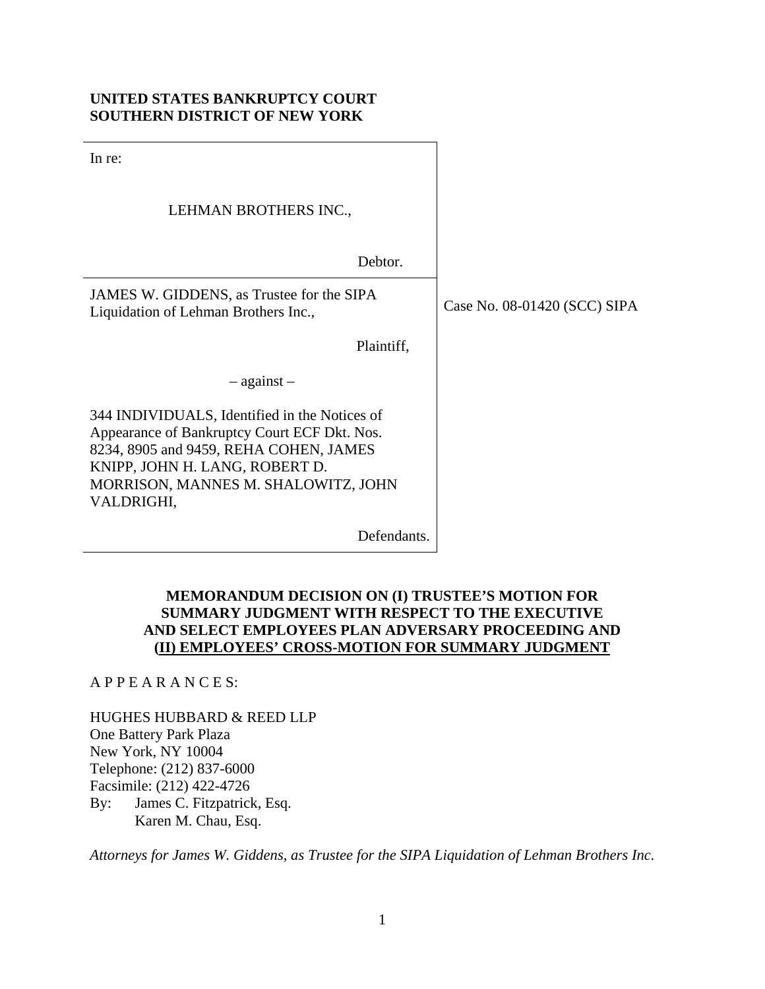## **UNITED STATES BANKRUPTCY COURT SOUTHERN DISTRICT OF NEW YORK**

In re: LEHMAN BROTHERS INC., Debtor. JAMES W. GIDDENS, as Trustee for the SIPA<br>Liquidation of Lahman Brothers Inc Liquidation of Lehman Brothers Inc., Plaintiff, – against – 344 INDIVIDUALS, Identified in the Notices of Appearance of Bankruptcy Court ECF Dkt. Nos. 8234, 8905 and 9459, REHA COHEN, JAMES KNIPP, JOHN H. LANG, ROBERT D. MORRISON, MANNES M. SHALOWITZ, JOHN VALDRIGHI, Defendants.

## **MEMORANDUM DECISION ON (I) TRUSTEE'S MOTION FOR SUMMARY JUDGMENT WITH RESPECT TO THE EXECUTIVE AND SELECT EMPLOYEES PLAN ADVERSARY PROCEEDING AND (II) EMPLOYEES' CROSS-MOTION FOR SUMMARY JUDGMENT**

A P P E A R A N C E S:

HUGHES HUBBARD & REED LLP One Battery Park Plaza New York, NY 10004 Telephone: (212) 837-6000 Facsimile: (212) 422-4726 By: James C. Fitzpatrick, Esq. Karen M. Chau, Esq.

*Attorneys for James W. Giddens, as Trustee for the SIPA Liquidation of Lehman Brothers Inc.*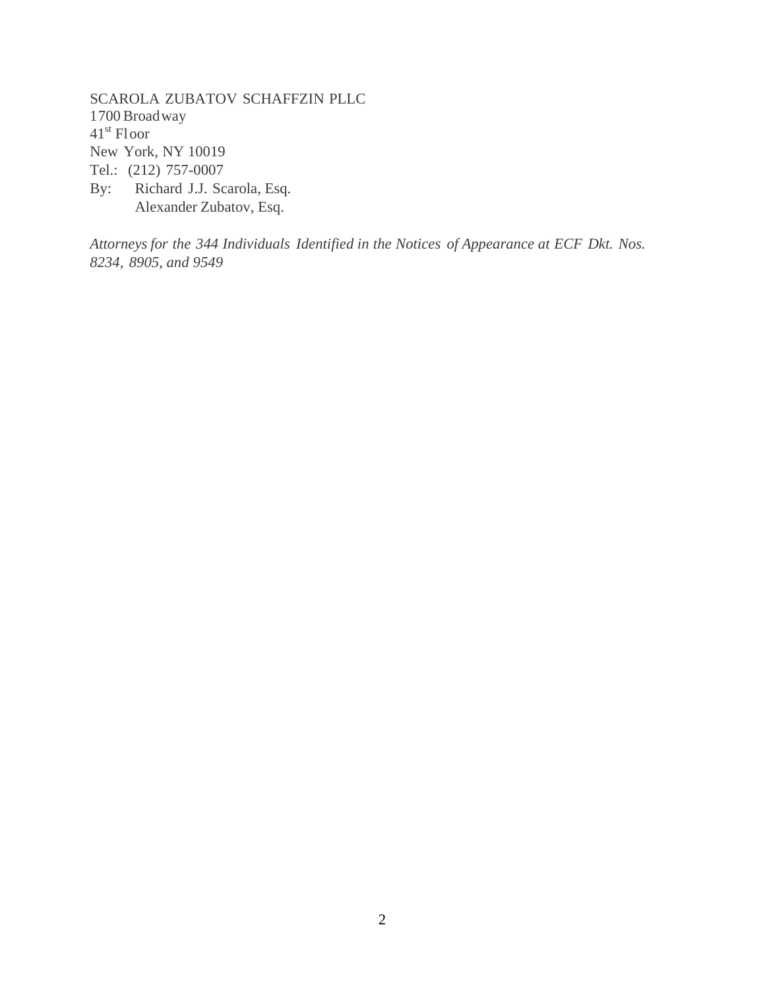SCAROLA ZUBATOV SCHAFFZIN PLLC 1 700 Broad way 41st Floor New York, NY 10019 Tel.: (212) 757-0007 By: Richard J.J. Scarola, Esq. Alexander Zubatov, Esq.

*Attorneys for the 344 Individuals Identified in the Notices of Appearance at ECF Dkt. Nos. 8234, 8905, and 9549*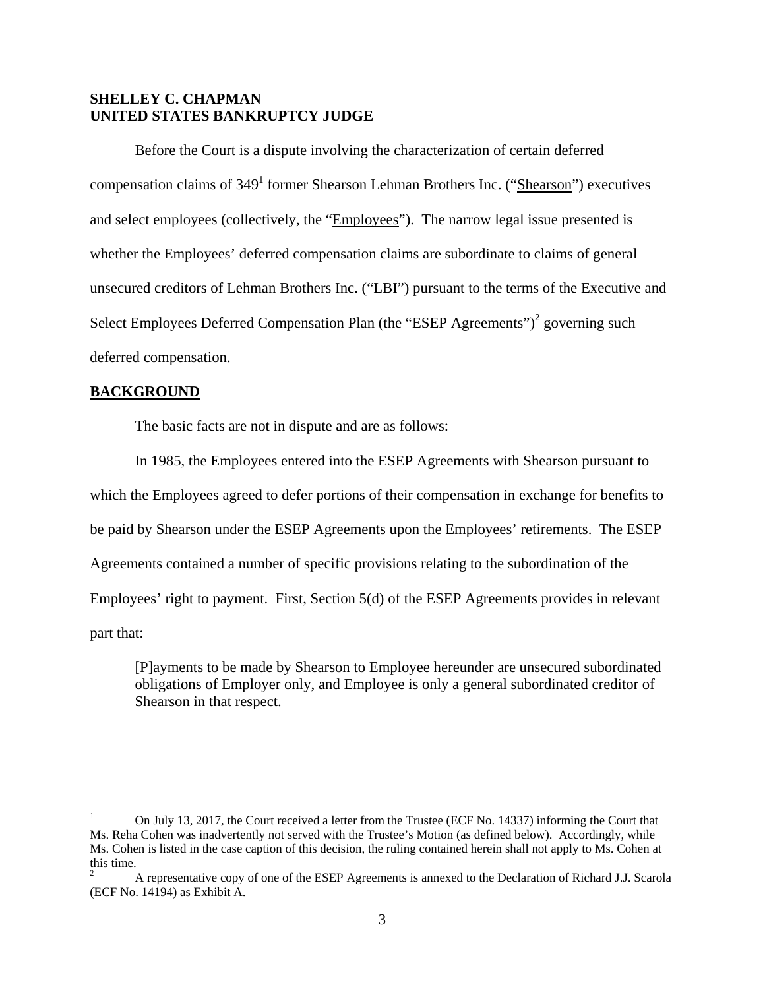## **SHELLEY C. CHAPMAN UNITED STATES BANKRUPTCY JUDGE**

Before the Court is a dispute involving the characterization of certain deferred compensation claims of 349<sup>1</sup> former Shearson Lehman Brothers Inc. ("Shearson") executives and select employees (collectively, the "Employees"). The narrow legal issue presented is whether the Employees' deferred compensation claims are subordinate to claims of general unsecured creditors of Lehman Brothers Inc. ("LBI") pursuant to the terms of the Executive and Select Employees Deferred Compensation Plan (the "ESEP Agreements")<sup>2</sup> governing such deferred compensation.

#### **BACKGROUND**

The basic facts are not in dispute and are as follows:

In 1985, the Employees entered into the ESEP Agreements with Shearson pursuant to which the Employees agreed to defer portions of their compensation in exchange for benefits to be paid by Shearson under the ESEP Agreements upon the Employees' retirements. The ESEP Agreements contained a number of specific provisions relating to the subordination of the Employees' right to payment. First, Section 5(d) of the ESEP Agreements provides in relevant part that:

[P]ayments to be made by Shearson to Employee hereunder are unsecured subordinated obligations of Employer only, and Employee is only a general subordinated creditor of Shearson in that respect.

<sup>1</sup> On July 13, 2017, the Court received a letter from the Trustee (ECF No. 14337) informing the Court that Ms. Reha Cohen was inadvertently not served with the Trustee's Motion (as defined below). Accordingly, while Ms. Cohen is listed in the case caption of this decision, the ruling contained herein shall not apply to Ms. Cohen at this time.

<sup>2</sup> A representative copy of one of the ESEP Agreements is annexed to the Declaration of Richard J.J. Scarola (ECF No. 14194) as Exhibit A.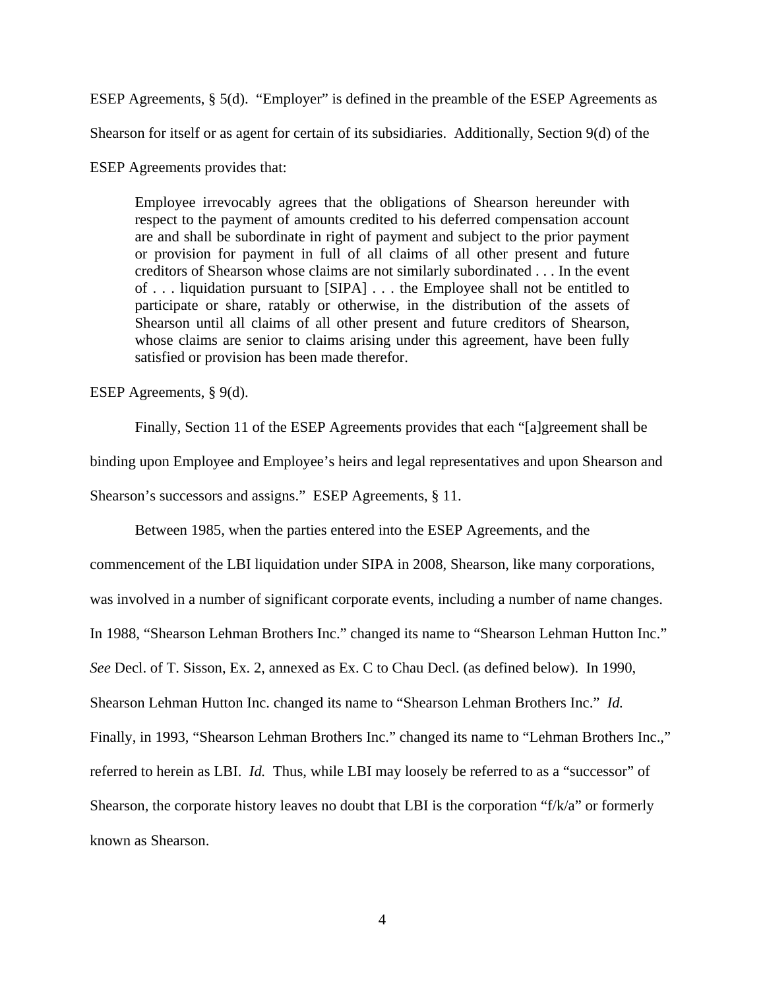ESEP Agreements, § 5(d). "Employer" is defined in the preamble of the ESEP Agreements as

Shearson for itself or as agent for certain of its subsidiaries. Additionally, Section 9(d) of the

ESEP Agreements provides that:

Employee irrevocably agrees that the obligations of Shearson hereunder with respect to the payment of amounts credited to his deferred compensation account are and shall be subordinate in right of payment and subject to the prior payment or provision for payment in full of all claims of all other present and future creditors of Shearson whose claims are not similarly subordinated . . . In the event of . . . liquidation pursuant to [SIPA] . . . the Employee shall not be entitled to participate or share, ratably or otherwise, in the distribution of the assets of Shearson until all claims of all other present and future creditors of Shearson, whose claims are senior to claims arising under this agreement, have been fully satisfied or provision has been made therefor.

ESEP Agreements, § 9(d).

Finally, Section 11 of the ESEP Agreements provides that each "[a]greement shall be binding upon Employee and Employee's heirs and legal representatives and upon Shearson and Shearson's successors and assigns." ESEP Agreements, § 11.

Between 1985, when the parties entered into the ESEP Agreements, and the commencement of the LBI liquidation under SIPA in 2008, Shearson, like many corporations, was involved in a number of significant corporate events, including a number of name changes. In 1988, "Shearson Lehman Brothers Inc." changed its name to "Shearson Lehman Hutton Inc." *See* Decl. of T. Sisson, Ex. 2, annexed as Ex. C to Chau Decl. (as defined below). In 1990, Shearson Lehman Hutton Inc. changed its name to "Shearson Lehman Brothers Inc." *Id.*  Finally, in 1993, "Shearson Lehman Brothers Inc." changed its name to "Lehman Brothers Inc.," referred to herein as LBI. *Id.* Thus, while LBI may loosely be referred to as a "successor" of Shearson, the corporate history leaves no doubt that LBI is the corporation "f/k/a" or formerly known as Shearson.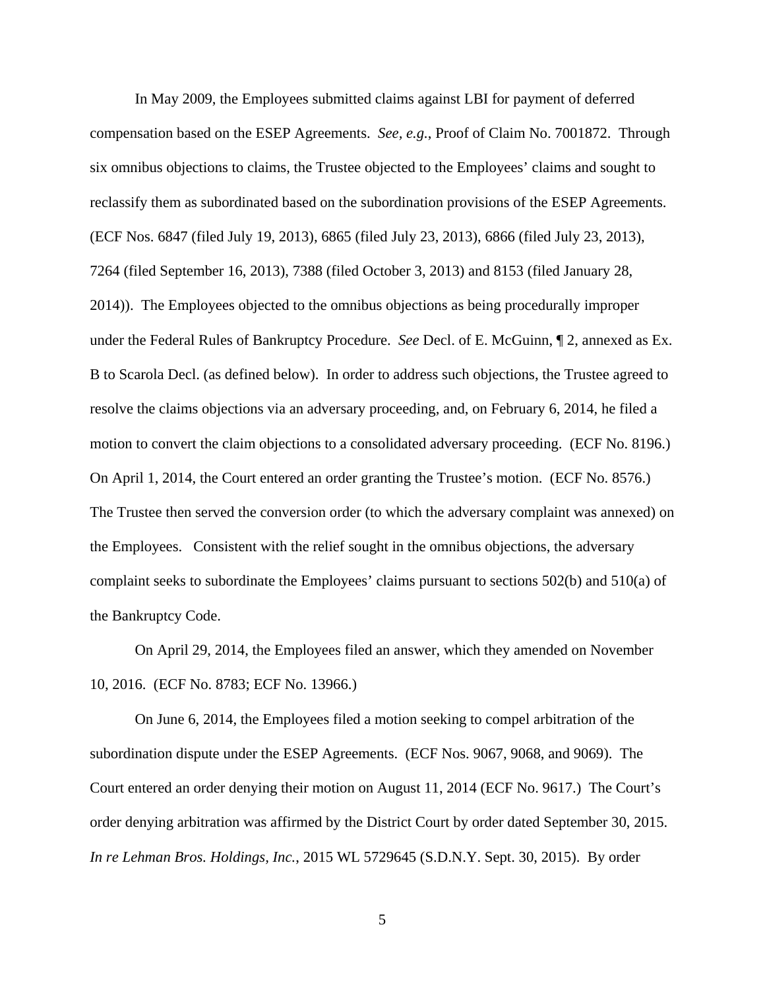In May 2009, the Employees submitted claims against LBI for payment of deferred compensation based on the ESEP Agreements. *See, e.g.*, Proof of Claim No. 7001872. Through six omnibus objections to claims, the Trustee objected to the Employees' claims and sought to reclassify them as subordinated based on the subordination provisions of the ESEP Agreements. (ECF Nos. 6847 (filed July 19, 2013), 6865 (filed July 23, 2013), 6866 (filed July 23, 2013), 7264 (filed September 16, 2013), 7388 (filed October 3, 2013) and 8153 (filed January 28, 2014)). The Employees objected to the omnibus objections as being procedurally improper under the Federal Rules of Bankruptcy Procedure. *See* Decl. of E. McGuinn, ¶ 2, annexed as Ex. B to Scarola Decl. (as defined below). In order to address such objections, the Trustee agreed to resolve the claims objections via an adversary proceeding, and, on February 6, 2014, he filed a motion to convert the claim objections to a consolidated adversary proceeding. (ECF No. 8196.) On April 1, 2014, the Court entered an order granting the Trustee's motion. (ECF No. 8576.) The Trustee then served the conversion order (to which the adversary complaint was annexed) on the Employees. Consistent with the relief sought in the omnibus objections, the adversary complaint seeks to subordinate the Employees' claims pursuant to sections 502(b) and 510(a) of the Bankruptcy Code.

On April 29, 2014, the Employees filed an answer, which they amended on November 10, 2016. (ECF No. 8783; ECF No. 13966.)

On June 6, 2014, the Employees filed a motion seeking to compel arbitration of the subordination dispute under the ESEP Agreements. (ECF Nos. 9067, 9068, and 9069). The Court entered an order denying their motion on August 11, 2014 (ECF No. 9617.) The Court's order denying arbitration was affirmed by the District Court by order dated September 30, 2015. *In re Lehman Bros. Holdings, Inc.*, 2015 WL 5729645 (S.D.N.Y. Sept. 30, 2015). By order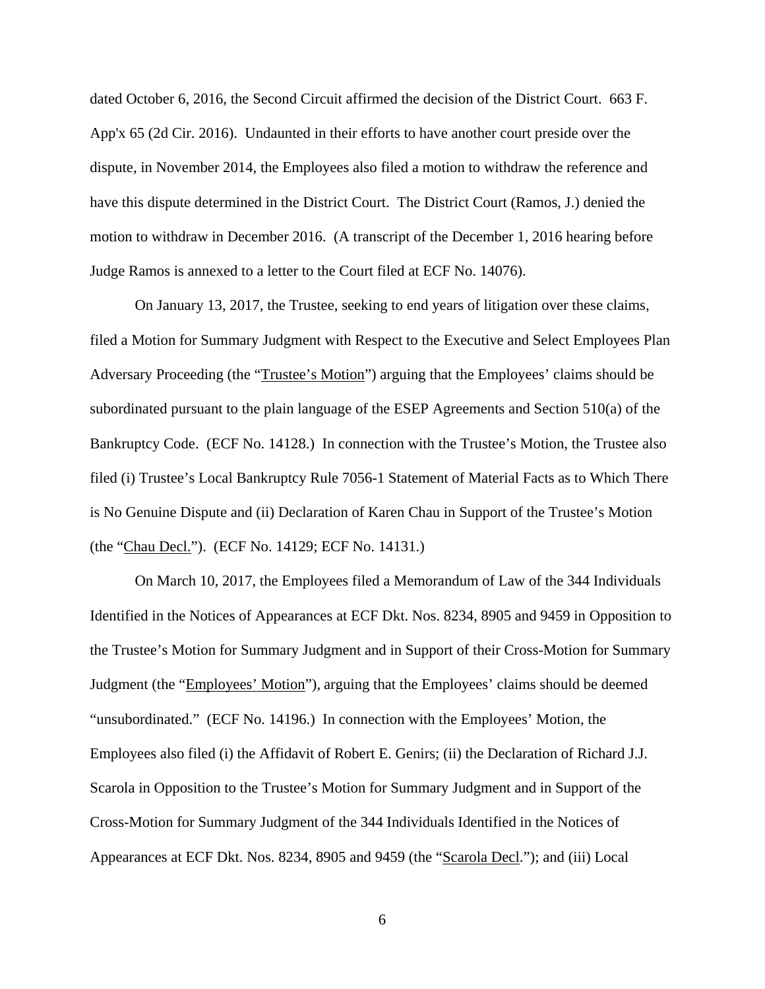dated October 6, 2016, the Second Circuit affirmed the decision of the District Court. 663 F. App'x 65 (2d Cir. 2016). Undaunted in their efforts to have another court preside over the dispute, in November 2014, the Employees also filed a motion to withdraw the reference and have this dispute determined in the District Court. The District Court (Ramos, J.) denied the motion to withdraw in December 2016. (A transcript of the December 1, 2016 hearing before Judge Ramos is annexed to a letter to the Court filed at ECF No. 14076).

On January 13, 2017, the Trustee, seeking to end years of litigation over these claims, filed a Motion for Summary Judgment with Respect to the Executive and Select Employees Plan Adversary Proceeding (the "Trustee's Motion") arguing that the Employees' claims should be subordinated pursuant to the plain language of the ESEP Agreements and Section 510(a) of the Bankruptcy Code. (ECF No. 14128.) In connection with the Trustee's Motion, the Trustee also filed (i) Trustee's Local Bankruptcy Rule 7056-1 Statement of Material Facts as to Which There is No Genuine Dispute and (ii) Declaration of Karen Chau in Support of the Trustee's Motion (the "Chau Decl."). (ECF No. 14129; ECF No. 14131.)

On March 10, 2017, the Employees filed a Memorandum of Law of the 344 Individuals Identified in the Notices of Appearances at ECF Dkt. Nos. 8234, 8905 and 9459 in Opposition to the Trustee's Motion for Summary Judgment and in Support of their Cross-Motion for Summary Judgment (the "Employees' Motion"), arguing that the Employees' claims should be deemed "unsubordinated." (ECF No. 14196.) In connection with the Employees' Motion, the Employees also filed (i) the Affidavit of Robert E. Genirs; (ii) the Declaration of Richard J.J. Scarola in Opposition to the Trustee's Motion for Summary Judgment and in Support of the Cross-Motion for Summary Judgment of the 344 Individuals Identified in the Notices of Appearances at ECF Dkt. Nos. 8234, 8905 and 9459 (the "Scarola Decl."); and (iii) Local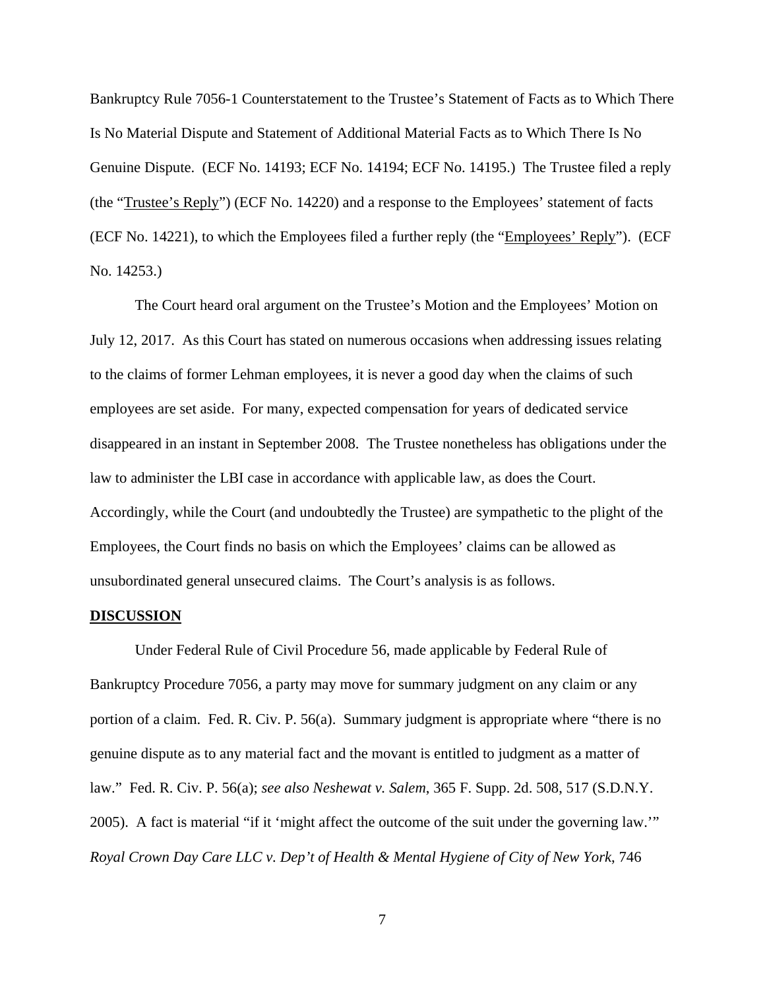Bankruptcy Rule 7056-1 Counterstatement to the Trustee's Statement of Facts as to Which There Is No Material Dispute and Statement of Additional Material Facts as to Which There Is No Genuine Dispute. (ECF No. 14193; ECF No. 14194; ECF No. 14195.) The Trustee filed a reply (the "Trustee's Reply") (ECF No. 14220) and a response to the Employees' statement of facts (ECF No. 14221), to which the Employees filed a further reply (the "Employees' Reply"). (ECF No. 14253.)

The Court heard oral argument on the Trustee's Motion and the Employees' Motion on July 12, 2017. As this Court has stated on numerous occasions when addressing issues relating to the claims of former Lehman employees, it is never a good day when the claims of such employees are set aside. For many, expected compensation for years of dedicated service disappeared in an instant in September 2008. The Trustee nonetheless has obligations under the law to administer the LBI case in accordance with applicable law, as does the Court. Accordingly, while the Court (and undoubtedly the Trustee) are sympathetic to the plight of the Employees, the Court finds no basis on which the Employees' claims can be allowed as unsubordinated general unsecured claims. The Court's analysis is as follows.

#### **DISCUSSION**

Under Federal Rule of Civil Procedure 56, made applicable by Federal Rule of Bankruptcy Procedure 7056, a party may move for summary judgment on any claim or any portion of a claim. Fed. R. Civ. P. 56(a). Summary judgment is appropriate where "there is no genuine dispute as to any material fact and the movant is entitled to judgment as a matter of law." Fed. R. Civ. P. 56(a); *see also Neshewat v. Salem*, 365 F. Supp. 2d. 508, 517 (S.D.N.Y. 2005). A fact is material "if it 'might affect the outcome of the suit under the governing law.'" *Royal Crown Day Care LLC v. Dep't of Health & Mental Hygiene of City of New York*, 746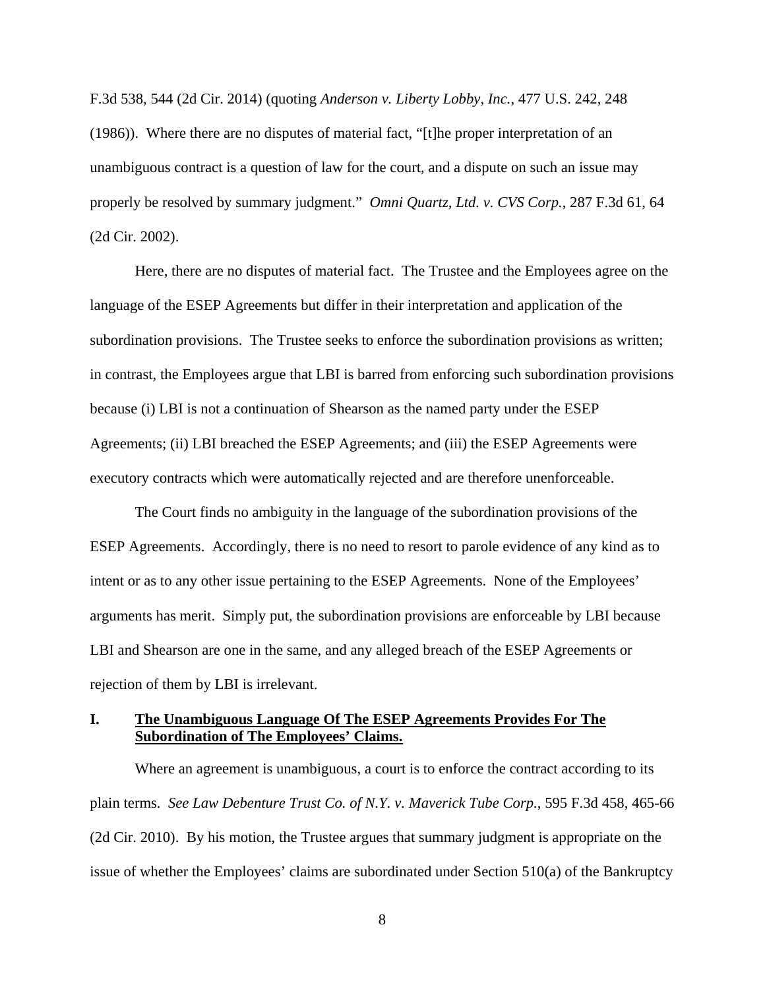F.3d 538, 544 (2d Cir. 2014) (quoting *Anderson v. Liberty Lobby, Inc.*, 477 U.S. 242, 248 (1986)). Where there are no disputes of material fact, "[t]he proper interpretation of an unambiguous contract is a question of law for the court, and a dispute on such an issue may properly be resolved by summary judgment." *Omni Quartz, Ltd. v. CVS Corp.*, 287 F.3d 61, 64 (2d Cir. 2002).

Here, there are no disputes of material fact. The Trustee and the Employees agree on the language of the ESEP Agreements but differ in their interpretation and application of the subordination provisions. The Trustee seeks to enforce the subordination provisions as written; in contrast, the Employees argue that LBI is barred from enforcing such subordination provisions because (i) LBI is not a continuation of Shearson as the named party under the ESEP Agreements; (ii) LBI breached the ESEP Agreements; and (iii) the ESEP Agreements were executory contracts which were automatically rejected and are therefore unenforceable.

The Court finds no ambiguity in the language of the subordination provisions of the ESEP Agreements. Accordingly, there is no need to resort to parole evidence of any kind as to intent or as to any other issue pertaining to the ESEP Agreements. None of the Employees' arguments has merit. Simply put, the subordination provisions are enforceable by LBI because LBI and Shearson are one in the same, and any alleged breach of the ESEP Agreements or rejection of them by LBI is irrelevant.

#### **I. The Unambiguous Language Of The ESEP Agreements Provides For The Subordination of The Employees' Claims.**

Where an agreement is unambiguous, a court is to enforce the contract according to its plain terms. *See Law Debenture Trust Co. of N.Y. v. Maverick Tube Corp.*, 595 F.3d 458, 465-66 (2d Cir. 2010). By his motion, the Trustee argues that summary judgment is appropriate on the issue of whether the Employees' claims are subordinated under Section 510(a) of the Bankruptcy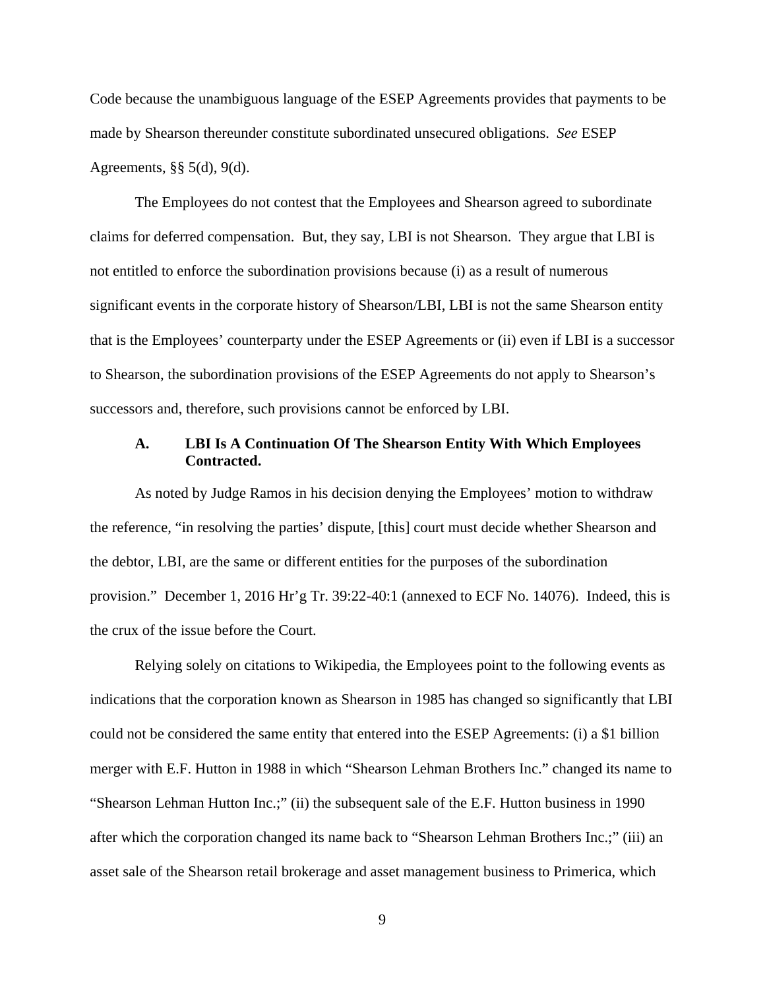Code because the unambiguous language of the ESEP Agreements provides that payments to be made by Shearson thereunder constitute subordinated unsecured obligations. *See* ESEP Agreements, §§ 5(d), 9(d).

The Employees do not contest that the Employees and Shearson agreed to subordinate claims for deferred compensation. But, they say, LBI is not Shearson. They argue that LBI is not entitled to enforce the subordination provisions because (i) as a result of numerous significant events in the corporate history of Shearson/LBI, LBI is not the same Shearson entity that is the Employees' counterparty under the ESEP Agreements or (ii) even if LBI is a successor to Shearson, the subordination provisions of the ESEP Agreements do not apply to Shearson's successors and, therefore, such provisions cannot be enforced by LBI.

#### **A. LBI Is A Continuation Of The Shearson Entity With Which Employees Contracted.**

As noted by Judge Ramos in his decision denying the Employees' motion to withdraw the reference, "in resolving the parties' dispute, [this] court must decide whether Shearson and the debtor, LBI, are the same or different entities for the purposes of the subordination provision." December 1, 2016 Hr'g Tr. 39:22-40:1 (annexed to ECF No. 14076). Indeed, this is the crux of the issue before the Court.

Relying solely on citations to Wikipedia, the Employees point to the following events as indications that the corporation known as Shearson in 1985 has changed so significantly that LBI could not be considered the same entity that entered into the ESEP Agreements: (i) a \$1 billion merger with E.F. Hutton in 1988 in which "Shearson Lehman Brothers Inc." changed its name to "Shearson Lehman Hutton Inc.;" (ii) the subsequent sale of the E.F. Hutton business in 1990 after which the corporation changed its name back to "Shearson Lehman Brothers Inc.;" (iii) an asset sale of the Shearson retail brokerage and asset management business to Primerica, which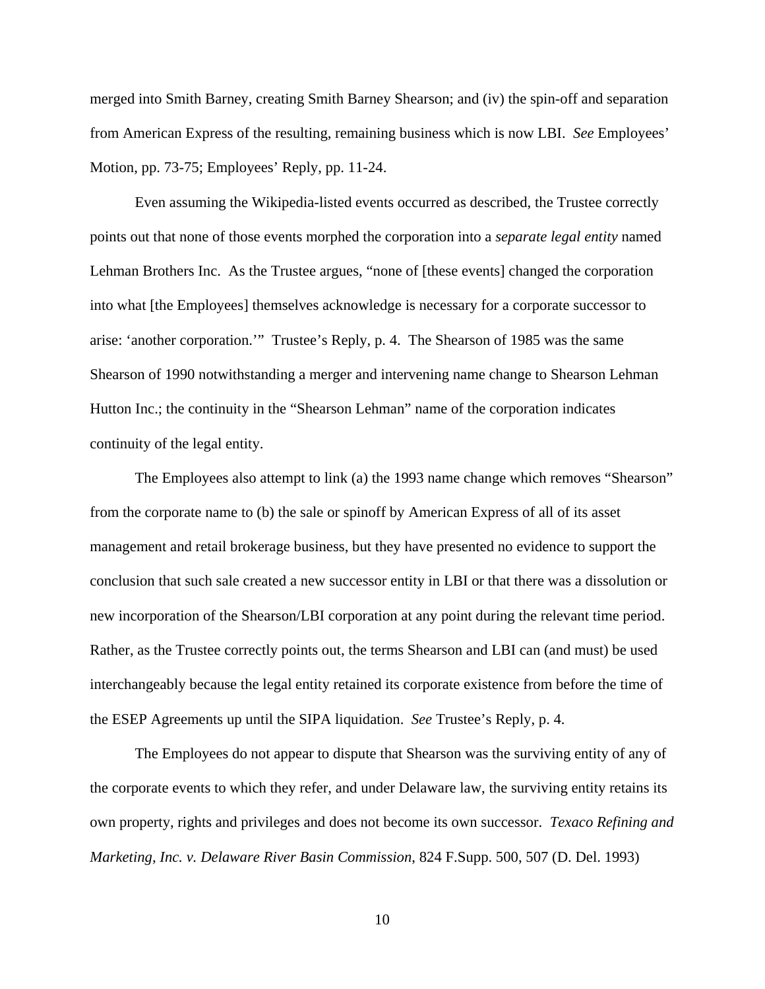merged into Smith Barney, creating Smith Barney Shearson; and (iv) the spin-off and separation from American Express of the resulting, remaining business which is now LBI. *See* Employees' Motion, pp. 73-75; Employees' Reply, pp. 11-24.

Even assuming the Wikipedia-listed events occurred as described, the Trustee correctly points out that none of those events morphed the corporation into a *separate legal entity* named Lehman Brothers Inc. As the Trustee argues, "none of [these events] changed the corporation into what [the Employees] themselves acknowledge is necessary for a corporate successor to arise: 'another corporation.'" Trustee's Reply, p. 4. The Shearson of 1985 was the same Shearson of 1990 notwithstanding a merger and intervening name change to Shearson Lehman Hutton Inc.; the continuity in the "Shearson Lehman" name of the corporation indicates continuity of the legal entity.

The Employees also attempt to link (a) the 1993 name change which removes "Shearson" from the corporate name to (b) the sale or spinoff by American Express of all of its asset management and retail brokerage business, but they have presented no evidence to support the conclusion that such sale created a new successor entity in LBI or that there was a dissolution or new incorporation of the Shearson/LBI corporation at any point during the relevant time period. Rather, as the Trustee correctly points out, the terms Shearson and LBI can (and must) be used interchangeably because the legal entity retained its corporate existence from before the time of the ESEP Agreements up until the SIPA liquidation. *See* Trustee's Reply, p. 4.

The Employees do not appear to dispute that Shearson was the surviving entity of any of the corporate events to which they refer, and under Delaware law, the surviving entity retains its own property, rights and privileges and does not become its own successor. *Texaco Refining and Marketing, Inc. v. Delaware River Basin Commission*, 824 F.Supp. 500, 507 (D. Del. 1993)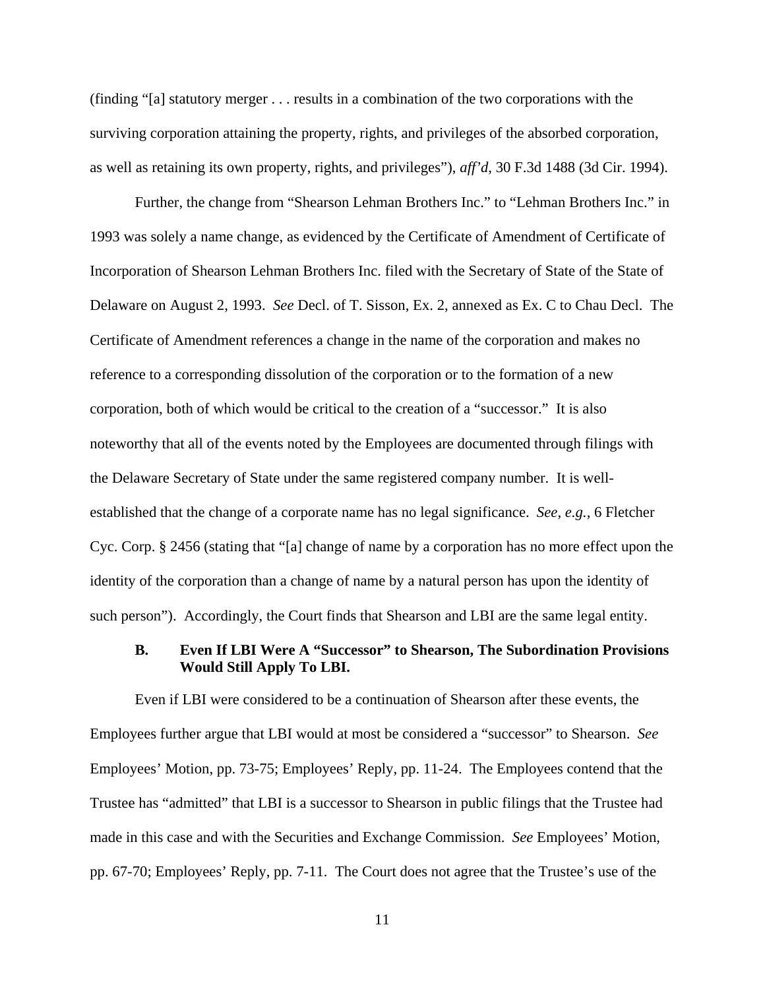(finding "[a] statutory merger . . . results in a combination of the two corporations with the surviving corporation attaining the property, rights, and privileges of the absorbed corporation, as well as retaining its own property, rights, and privileges"), *aff'd*, 30 F.3d 1488 (3d Cir. 1994).

Further, the change from "Shearson Lehman Brothers Inc." to "Lehman Brothers Inc." in 1993 was solely a name change, as evidenced by the Certificate of Amendment of Certificate of Incorporation of Shearson Lehman Brothers Inc. filed with the Secretary of State of the State of Delaware on August 2, 1993. *See* Decl. of T. Sisson, Ex. 2, annexed as Ex. C to Chau Decl. The Certificate of Amendment references a change in the name of the corporation and makes no reference to a corresponding dissolution of the corporation or to the formation of a new corporation, both of which would be critical to the creation of a "successor." It is also noteworthy that all of the events noted by the Employees are documented through filings with the Delaware Secretary of State under the same registered company number. It is wellestablished that the change of a corporate name has no legal significance. *See, e.g.,* 6 Fletcher Cyc. Corp. § 2456 (stating that "[a] change of name by a corporation has no more effect upon the identity of the corporation than a change of name by a natural person has upon the identity of such person"). Accordingly, the Court finds that Shearson and LBI are the same legal entity.

#### **B. Even If LBI Were A "Successor" to Shearson, The Subordination Provisions Would Still Apply To LBI.**

Even if LBI were considered to be a continuation of Shearson after these events, the Employees further argue that LBI would at most be considered a "successor" to Shearson. *See*  Employees' Motion, pp. 73-75; Employees' Reply, pp. 11-24. The Employees contend that the Trustee has "admitted" that LBI is a successor to Shearson in public filings that the Trustee had made in this case and with the Securities and Exchange Commission. *See* Employees' Motion, pp. 67-70; Employees' Reply, pp. 7-11. The Court does not agree that the Trustee's use of the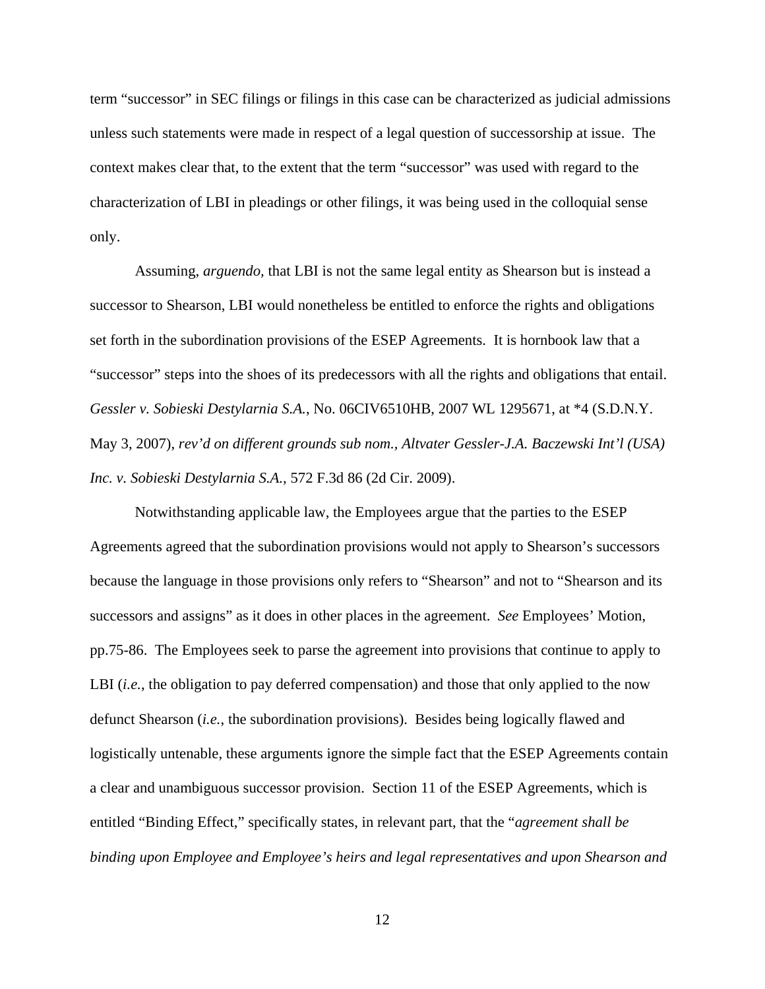term "successor" in SEC filings or filings in this case can be characterized as judicial admissions unless such statements were made in respect of a legal question of successorship at issue. The context makes clear that, to the extent that the term "successor" was used with regard to the characterization of LBI in pleadings or other filings, it was being used in the colloquial sense only.

Assuming, *arguendo,* that LBI is not the same legal entity as Shearson but is instead a successor to Shearson, LBI would nonetheless be entitled to enforce the rights and obligations set forth in the subordination provisions of the ESEP Agreements. It is hornbook law that a "successor" steps into the shoes of its predecessors with all the rights and obligations that entail. *Gessler v. Sobieski Destylarnia S.A.*, No. 06CIV6510HB, 2007 WL 1295671, at \*4 (S.D.N.Y. May 3, 2007), *rev'd on different grounds sub nom., Altvater Gessler-J.A. Baczewski Int'l (USA) Inc. v. Sobieski Destylarnia S.A.*, 572 F.3d 86 (2d Cir. 2009).

Notwithstanding applicable law, the Employees argue that the parties to the ESEP Agreements agreed that the subordination provisions would not apply to Shearson's successors because the language in those provisions only refers to "Shearson" and not to "Shearson and its successors and assigns" as it does in other places in the agreement. *See* Employees' Motion, pp.75-86. The Employees seek to parse the agreement into provisions that continue to apply to LBI *(i.e.*, the obligation to pay deferred compensation) and those that only applied to the now defunct Shearson (*i.e.*, the subordination provisions). Besides being logically flawed and logistically untenable, these arguments ignore the simple fact that the ESEP Agreements contain a clear and unambiguous successor provision. Section 11 of the ESEP Agreements, which is entitled "Binding Effect," specifically states, in relevant part, that the "*agreement shall be binding upon Employee and Employee's heirs and legal representatives and upon Shearson and*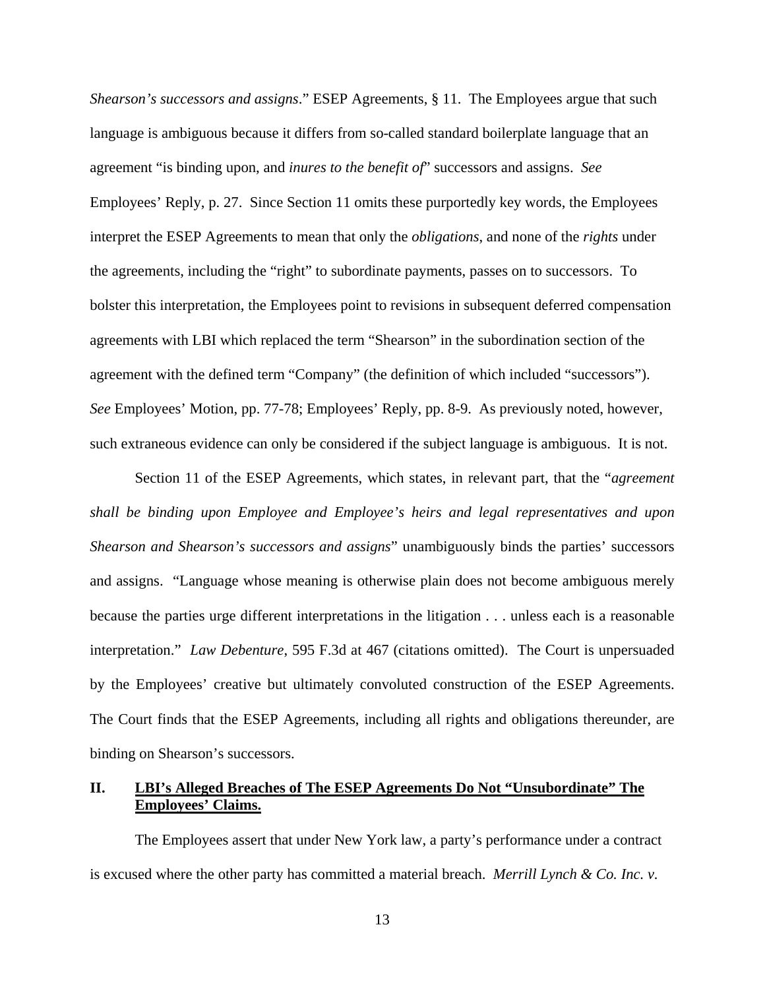*Shearson's successors and assigns*." ESEP Agreements, § 11. The Employees argue that such language is ambiguous because it differs from so-called standard boilerplate language that an agreement "is binding upon, and *inures to the benefit of*" successors and assigns. *See* Employees' Reply, p. 27. Since Section 11 omits these purportedly key words, the Employees interpret the ESEP Agreements to mean that only the *obligations*, and none of the *rights* under the agreements, including the "right" to subordinate payments, passes on to successors. To bolster this interpretation, the Employees point to revisions in subsequent deferred compensation agreements with LBI which replaced the term "Shearson" in the subordination section of the agreement with the defined term "Company" (the definition of which included "successors"). *See* Employees' Motion, pp. 77-78; Employees' Reply, pp. 8-9. As previously noted, however, such extraneous evidence can only be considered if the subject language is ambiguous. It is not.

Section 11 of the ESEP Agreements, which states, in relevant part, that the "*agreement shall be binding upon Employee and Employee's heirs and legal representatives and upon Shearson and Shearson's successors and assigns*" unambiguously binds the parties' successors and assigns. "Language whose meaning is otherwise plain does not become ambiguous merely because the parties urge different interpretations in the litigation . . . unless each is a reasonable interpretation." *Law Debenture*, 595 F.3d at 467 (citations omitted). The Court is unpersuaded by the Employees' creative but ultimately convoluted construction of the ESEP Agreements. The Court finds that the ESEP Agreements, including all rights and obligations thereunder, are binding on Shearson's successors.

## **II. LBI's Alleged Breaches of The ESEP Agreements Do Not "Unsubordinate" The Employees' Claims.**

The Employees assert that under New York law, a party's performance under a contract is excused where the other party has committed a material breach. *Merrill Lynch & Co. Inc. v.*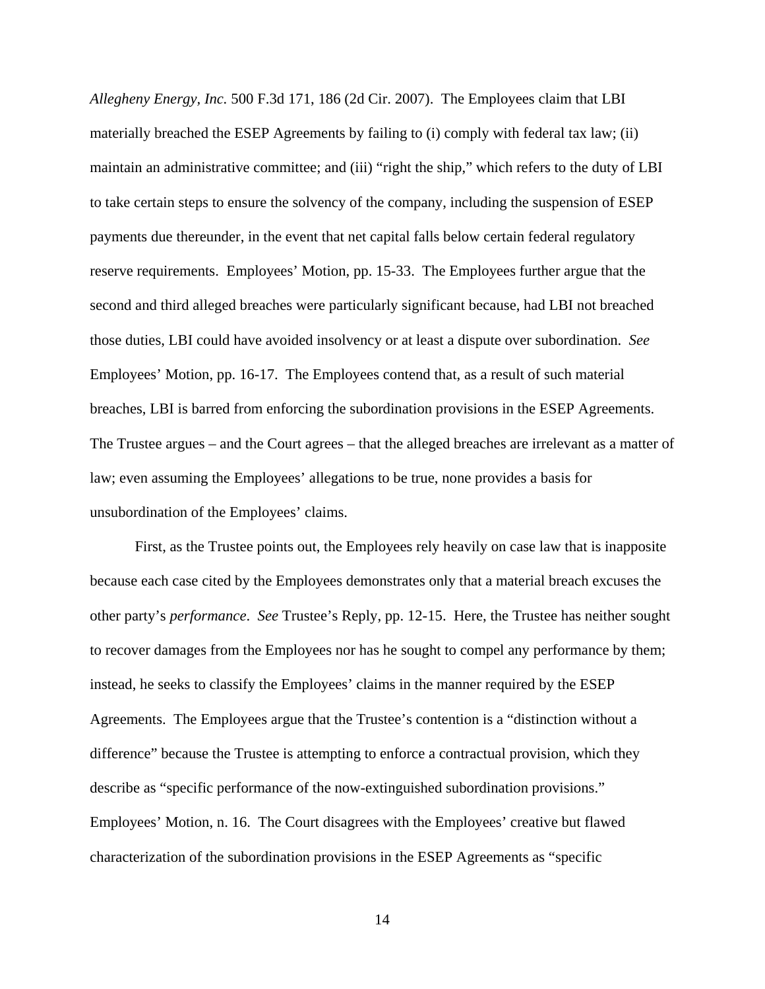*Allegheny Energy, Inc.* 500 F.3d 171, 186 (2d Cir. 2007). The Employees claim that LBI materially breached the ESEP Agreements by failing to (i) comply with federal tax law; (ii) maintain an administrative committee; and (iii) "right the ship," which refers to the duty of LBI to take certain steps to ensure the solvency of the company, including the suspension of ESEP payments due thereunder, in the event that net capital falls below certain federal regulatory reserve requirements. Employees' Motion, pp. 15-33. The Employees further argue that the second and third alleged breaches were particularly significant because, had LBI not breached those duties, LBI could have avoided insolvency or at least a dispute over subordination. *See* Employees' Motion, pp. 16-17. The Employees contend that, as a result of such material breaches, LBI is barred from enforcing the subordination provisions in the ESEP Agreements. The Trustee argues – and the Court agrees – that the alleged breaches are irrelevant as a matter of law; even assuming the Employees' allegations to be true, none provides a basis for unsubordination of the Employees' claims.

First, as the Trustee points out, the Employees rely heavily on case law that is inapposite because each case cited by the Employees demonstrates only that a material breach excuses the other party's *performance*. *See* Trustee's Reply, pp. 12-15. Here, the Trustee has neither sought to recover damages from the Employees nor has he sought to compel any performance by them; instead, he seeks to classify the Employees' claims in the manner required by the ESEP Agreements. The Employees argue that the Trustee's contention is a "distinction without a difference" because the Trustee is attempting to enforce a contractual provision, which they describe as "specific performance of the now-extinguished subordination provisions." Employees' Motion, n. 16. The Court disagrees with the Employees' creative but flawed characterization of the subordination provisions in the ESEP Agreements as "specific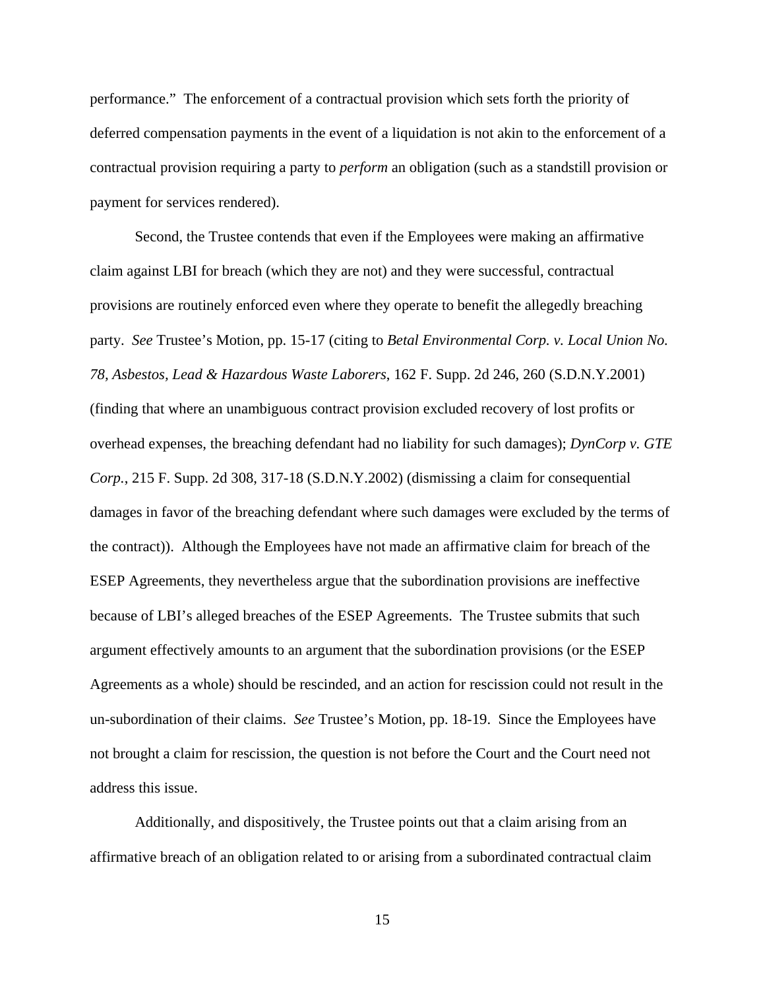performance." The enforcement of a contractual provision which sets forth the priority of deferred compensation payments in the event of a liquidation is not akin to the enforcement of a contractual provision requiring a party to *perform* an obligation (such as a standstill provision or payment for services rendered).

Second, the Trustee contends that even if the Employees were making an affirmative claim against LBI for breach (which they are not) and they were successful, contractual provisions are routinely enforced even where they operate to benefit the allegedly breaching party. *See* Trustee's Motion, pp. 15-17 (citing to *Betal Environmental Corp. v. Local Union No. 78, Asbestos, Lead & Hazardous Waste Laborers*, 162 F. Supp. 2d 246, 260 (S.D.N.Y.2001) (finding that where an unambiguous contract provision excluded recovery of lost profits or overhead expenses, the breaching defendant had no liability for such damages); *DynCorp v. GTE Corp.*, 215 F. Supp. 2d 308, 317-18 (S.D.N.Y.2002) (dismissing a claim for consequential damages in favor of the breaching defendant where such damages were excluded by the terms of the contract)). Although the Employees have not made an affirmative claim for breach of the ESEP Agreements, they nevertheless argue that the subordination provisions are ineffective because of LBI's alleged breaches of the ESEP Agreements. The Trustee submits that such argument effectively amounts to an argument that the subordination provisions (or the ESEP Agreements as a whole) should be rescinded, and an action for rescission could not result in the un-subordination of their claims. *See* Trustee's Motion, pp. 18-19. Since the Employees have not brought a claim for rescission, the question is not before the Court and the Court need not address this issue.

Additionally, and dispositively, the Trustee points out that a claim arising from an affirmative breach of an obligation related to or arising from a subordinated contractual claim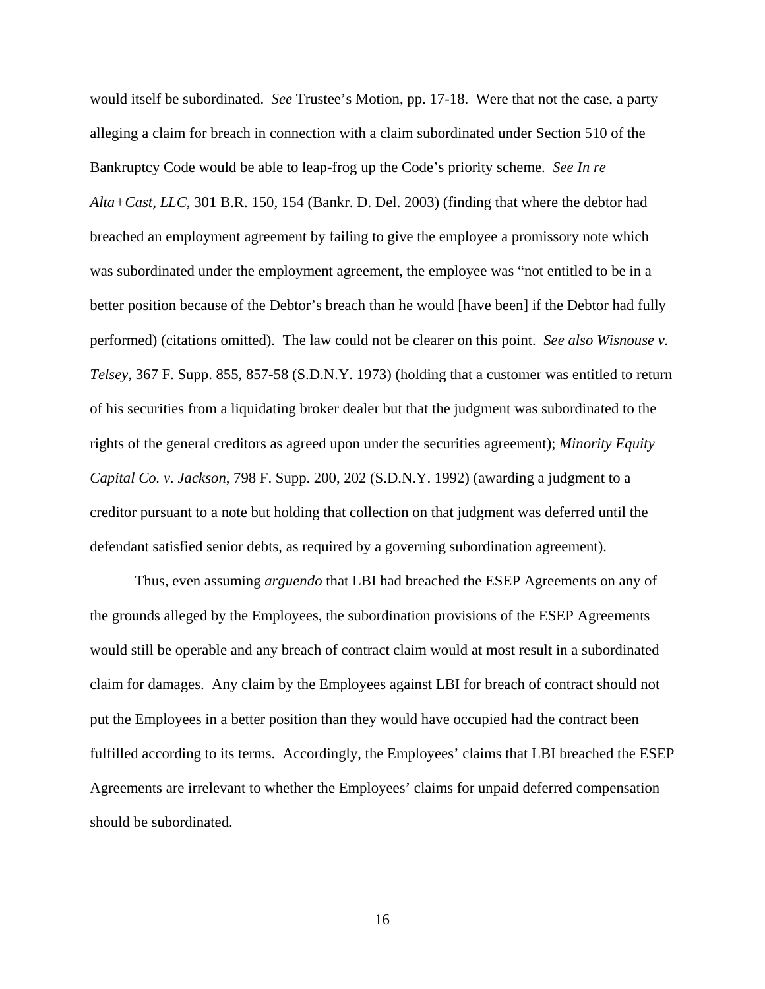would itself be subordinated. *See* Trustee's Motion, pp. 17-18. Were that not the case, a party alleging a claim for breach in connection with a claim subordinated under Section 510 of the Bankruptcy Code would be able to leap-frog up the Code's priority scheme. *See In re Alta+Cast, LLC*, 301 B.R. 150, 154 (Bankr. D. Del. 2003) (finding that where the debtor had breached an employment agreement by failing to give the employee a promissory note which was subordinated under the employment agreement, the employee was "not entitled to be in a better position because of the Debtor's breach than he would [have been] if the Debtor had fully performed) (citations omitted). The law could not be clearer on this point. *See also Wisnouse v. Telsey*, 367 F. Supp. 855, 857-58 (S.D.N.Y. 1973) (holding that a customer was entitled to return of his securities from a liquidating broker dealer but that the judgment was subordinated to the rights of the general creditors as agreed upon under the securities agreement); *Minority Equity Capital Co. v. Jackson*, 798 F. Supp. 200, 202 (S.D.N.Y. 1992) (awarding a judgment to a creditor pursuant to a note but holding that collection on that judgment was deferred until the defendant satisfied senior debts, as required by a governing subordination agreement).

Thus, even assuming *arguendo* that LBI had breached the ESEP Agreements on any of the grounds alleged by the Employees, the subordination provisions of the ESEP Agreements would still be operable and any breach of contract claim would at most result in a subordinated claim for damages. Any claim by the Employees against LBI for breach of contract should not put the Employees in a better position than they would have occupied had the contract been fulfilled according to its terms. Accordingly, the Employees' claims that LBI breached the ESEP Agreements are irrelevant to whether the Employees' claims for unpaid deferred compensation should be subordinated.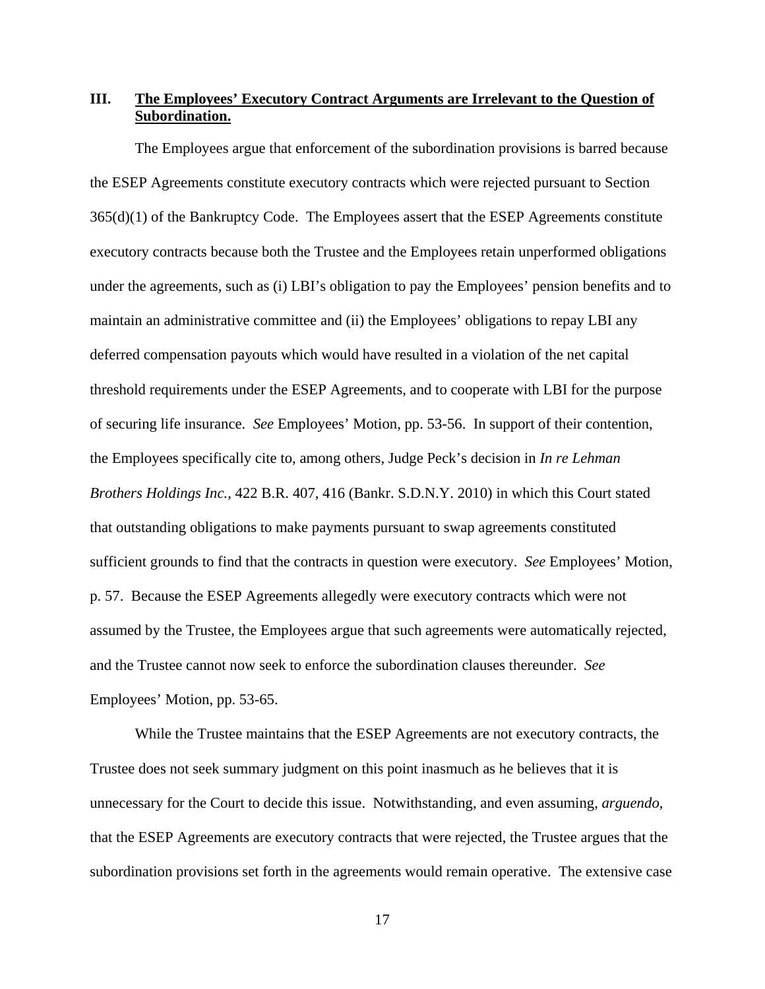# **III. The Employees' Executory Contract Arguments are Irrelevant to the Question of Subordination.**

The Employees argue that enforcement of the subordination provisions is barred because the ESEP Agreements constitute executory contracts which were rejected pursuant to Section 365(d)(1) of the Bankruptcy Code. The Employees assert that the ESEP Agreements constitute executory contracts because both the Trustee and the Employees retain unperformed obligations under the agreements, such as (i) LBI's obligation to pay the Employees' pension benefits and to maintain an administrative committee and (ii) the Employees' obligations to repay LBI any deferred compensation payouts which would have resulted in a violation of the net capital threshold requirements under the ESEP Agreements, and to cooperate with LBI for the purpose of securing life insurance. *See* Employees' Motion, pp. 53-56. In support of their contention, the Employees specifically cite to, among others, Judge Peck's decision in *In re Lehman Brothers Holdings Inc.*, 422 B.R. 407, 416 (Bankr. S.D.N.Y. 2010) in which this Court stated that outstanding obligations to make payments pursuant to swap agreements constituted sufficient grounds to find that the contracts in question were executory. *See* Employees' Motion, p. 57. Because the ESEP Agreements allegedly were executory contracts which were not assumed by the Trustee, the Employees argue that such agreements were automatically rejected, and the Trustee cannot now seek to enforce the subordination clauses thereunder. *See* Employees' Motion, pp. 53-65.

While the Trustee maintains that the ESEP Agreements are not executory contracts, the Trustee does not seek summary judgment on this point inasmuch as he believes that it is unnecessary for the Court to decide this issue. Notwithstanding, and even assuming, *arguendo*, that the ESEP Agreements are executory contracts that were rejected, the Trustee argues that the subordination provisions set forth in the agreements would remain operative. The extensive case